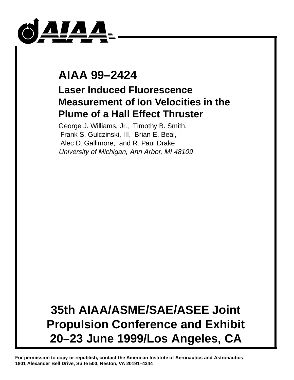

# **AIAA 99–2424**

## **Laser Induced Fluorescence Measurement of Ion Velocities in the Plume of a Hall Effect Thruster**

George J. Williams, Jr., Timothy B. Smith, Frank S. Gulczinski, III, Brian E. Beal, Alec D. Gallimore, and R. Paul Drake University of Michigan, Ann Arbor, MI 48109

# **35th AIAA/ASME/SAE/ASEE Joint Propulsion Conference and Exhibit 20–23 June 1999/Los Angeles, CA**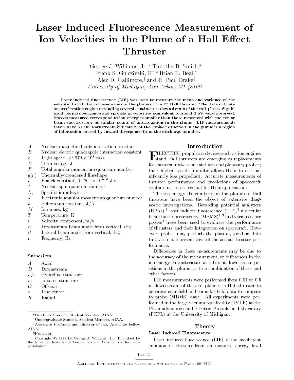## Laser Induced Fluorescence Measurement of Ion Velocities in the Plume of a Hall Effect Thruster

George J. Williams,  $Jr.*$  Timothy B. Smith,\* Frank S. Gulczinski, III,\* Brian E. Beal,<sup>†</sup> Alec D. Gallimore, and R. Paul Drake<sup>s</sup> University of Michigan, Ann Arbor, MI 48109

Laser induced fluorescence (LIF) was used to measure the mean and variance of the velocity distribution of xenon ions in the plume of the P5 Hall thruster. The data indicatean acceleration region extending several centimeters downstream of the exit plane. Significant plume divergence and spreads in velocities equivalent to about 1 eV were observed.Speeds measured correspond to ion energies smaller than those measured with molecularbeam spectroscopy at similar points of interrogation in the plume. LIF measurementstaken 10 to 50 cm downstream indicate that the \spike" observed in the plume is a regionof interaction caused by inward divergence from the discharge annulus.

- A Nuclear magnetic dipole interaction constant
- B Nuclear electric quadrapole interaction constant
- $c = 1$  Light speed, 2.9979  $\times$  10  $\,$  m/s
- $E$  Term energy, J
- $F$  Total angular momentum quantum number
- $g(\nu)$  Thermally-broadened lineshape
- $n =$  Planck constant, 0.0201  $\times$  10  $^{-1}$  J-s
- $\overline{I}$ I Nuclear spin quantum number
- $I_{sp}$  Specific impulse, s
- $J$  Electronic angular momentum quantum number
- $k$  Boltzmann constant,  $J/K$
- $\overline{M}$ Ion mass, kg
- $\tau$ Temperature, K
- Velocity component,  $m/s$  $\overline{21}$
- $\alpha$  Downstream beam angle from vertical, deg
- $\beta$  Lateral beam angle from vertical, deg
- Frequency, Hz  $\overline{\nu}$

#### Subscripts

- $\overline{A}$ Axial
- $\overline{D}$ Downstream
- $hfs$  Hyperfine structure
- is Isotopic structure
- $\Omega$
- Line center  $\sigma$
- 

### Introduction

**EXECTRIC PROPULSION CONSUMER SUCH ASSESS** for chemical rockets on satellites and planetary probes; their higher specific impulse allows them to use signicantly less propellant. Accurate measurements of thruster performance and predictions of spacecraft contamination are crucial for their application.

The ion energy distributions in the plumes of Hall thrusters have been the object of extensive diagnostic investigations. Retarding potential analyzers (RPAs),1 laser induced 
uorescence (LIF),<sup>2</sup> molecular beam mass spectroscopy  $(MBMS)^{1/3}$  and various other probes4 have been used to evaluate the performance of thrusters and their integration on spacecraft. However, probes may perturb the plasma, yielding data that are not representative of the actual thruster performance.

Differences in these measurements may be due to the accuracy of the measurement, to differences in the ion energy characteristics at different downstream positions in the plume, or to a combination of these and other factors.

LIF measurements were performed from 0.01 to 0.5 m downstream of the exit plane of a Hall thruster to generate near-field and some far-field data to compare to probe (MBMS) data. All experiments were performed in the large vacuum test facility (LVTF) at the Plasmadynamics and Electric Propulsion Laboratory (PEPL) at the University of Michigan.

#### Theory

#### Laser Induced Fluorescence

Laser induced fluorescence (LIF) is the incoherent emission of photons from an unstable energy level

Graduate Student, Student Member, AIAA.

<sup>&</sup>lt;sup>†</sup>Undergraduate Student, Student Member, AIAA.

<sup>&</sup>lt;sup>‡</sup>Associate Professor and director of lab, Associate Fellow AIAA.

xProfessor.

Copyright © 1999 by George J. Williams, Jr.. Published by the American Institute of Aeronautics and Astronautics, Inc. with permission.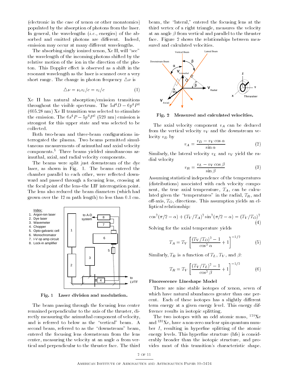(electronic in the case of xenon or other monatomics) populated by the absorption of photons from the laser. In general, the wavelengths  $(i.e.,$  energies) of the absorbed and emitted photons are different. Indeed, emission may occur at many different wavelengths.

The absorbing singly ionized xenon,  $Xe II$ , will "see" the wavelength of the incoming photons shifted by the relative motion of the ion in the direction of the photon. This Doppler effect is observed as a shift in the resonant wavelength as the laser is scanned over a very short range. The change in photon frequency  $\Delta \nu$  is

$$
\Delta \nu = \nu_o v_i/c = v_i/c \tag{1}
$$

Xe II has natural absorption/emission transitions throughout the visible spectrum. The  $5d^4D - 6p^4P^0$ (605.28 nm) Xe II transition was selected to stimulate the emission. The  $0s^+P = 3p^+P$  (329 nm) emission is strongest for this upper state and was selected to be collected.

Both two-beam and three-beam congurations interrogated the plasma. Two beams permitted simultaneous measurements of azimuthal and axial velocity components.<sup>5</sup> Three beams yielded simultaneous azimuthal, axial, and radial velocity components.

The beams were split just downstream of the dye laser, as shown in Fig. 1. The beams entered the chamber parallel to each other, were reflected downward and passed through a focusing lens, crossing at the focal point of the lens-the LIF interrogation point. The lens also reduced the beam diameters (which had grown over the 12 m path length) to less than 0.1 cm.



Fig. 1 Laser division and modulation.

The beam passing through the focusing lens center remained perpendicular to the axis of the thruster, directly measuring the azimuthal component of velocity, and is referred to below as the "vertical" beam. A second beam, referred to as the "downstream" beam, entered the focusing lens downstream from the lens center, measuring the velocity at an angle  $\alpha$  from vertical and perpendicular to the thruster face. The third

beam, the "lateral," entered the focusing lens at the third vertex of a right triangle, measures the velocity at an angle  $\beta$  from vertical and parallel to the thruster face. Figure 2 shows the relationships between measured and calculated velocities.



Fig. 2 Measured and calculated velocities.

The axial velocity component  $v_A$  can be deduced from the vertical velocity  $v_V$  and the downstream velocity  $v_D$  by

$$
v_A = \frac{v_D - v_V \cos \alpha}{\sin \alpha} \tag{2}
$$

Similarly, the lateral velocity  $v_L$  and  $v_V$  yield the radial velocity

$$
v_R = \frac{v_L - v_V \cos \beta}{\sin \beta} \tag{3}
$$

Assuming statistical independence of the temperatures (distributions) associated with each velocity component, the true axial temperature,  $T_A$ , can be calculated given the "temperatures" in the radial,  $T_R$ , and off-axis,  $T<sub>O</sub>$ , directions. This assumption yields an elliptical relationship:

$$
\cos^{2}(\pi/2 - \alpha) + (T_{V}/T_{A})^{2} \sin^{2}(\pi/2 - \alpha) = (T_{V}/T_{O})^{2}
$$
\n(4)

Solving for the axial temperature yields

$$
T_A = T_V \left[ \frac{(T_V/T_O)^2 - 1}{\cos^2 \alpha} + 1 \right]^{-1/2} \tag{5}
$$

Similarly,  $T_R$  is a function of  $T_L$ ,  $T_V$ , and  $\beta$ :

$$
T_R = T_V \left[ \frac{(T_V/T_L)^2 - 1}{\cos^2 \beta} + 1 \right]^{-1/2} \tag{6}
$$

#### Fluorescence Lineshape Model

There are nine stable isotopes of xenon, seven of which have natural abundances greater than one percent. Each of these isotopes has a slightly different term energy at a given energy level. This energy difference results in isotopic splitting.

The two isotopes with an odd atomic mass,  $^{129}Xe$ and  $131Xe$ , have a non-zero nuclear spin quantum number  $I$ , resulting in hyperfine splitting of the atomic energy levels. This hyperfine structure (hfs) is considerably broader than the isotopic structure, and provides most of this transition's characteristic shape.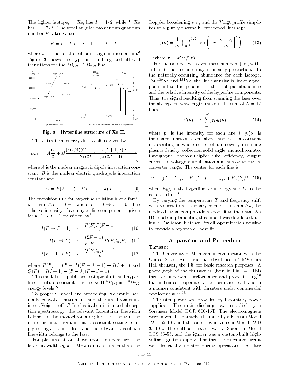The lighter isotope, <sup>129</sup>Xe, has  $I = 1/2$ , while <sup>131</sup>Xe has  $I = 7/2$ . The total angular momentum quantum number F takes values

$$
F = I + J, I + J - 1, \dots, |I - J|
$$
 (7)

where J is the total electronic angular momentum.<sup>6</sup> Figure 3 shows the hyperfine splitting and allowed transitions for the  ${}^4P_{5/2} - {}^4D_{7/2}$  line.



Fig. 3 Hyperfine structure of Xe II.

The extra term energy due to hfs is given by

$$
E_{hfs} = A\frac{C}{2} + B\frac{(3C/4)(C+1) - I(I+1)J(J+1)}{2I(2I-1)J(2J-1)}
$$
\n(8)

where A is the nuclear magnetic dipole interaction constant,  $B$  is the nuclear electric quadrapole interaction constant and

$$
C = F(F + 1) - I(I + 1) - J(J + 1) \tag{9}
$$

The transition rule for hyperfine splitting is of a familiar form,  $\Delta F = 0, \pm 1$  where  $F = 0 \rightarrow F' = 0$ . The relative intensity of each hyperfine component is given for a  $J \to J - 1$  transition by<sup>7</sup>

$$
I(F \to F - 1) \propto \frac{P(F)P(F - 1)}{F}
$$
 (10)

$$
I(F \to F) \propto \frac{(2F+1)}{F(F+1)} P(F) Q(F) \quad (11)
$$

$$
I(F - 1 \to F) \propto \frac{Q(F)Q(F - 1)}{F}
$$
 (12)

where  $P(F) = (F + J)(F + J + 1) - I(I + 1)$  and  $Q(F) = I(I + 1) - (F - J)(F - J + 1).$ 

This model uses published isotopic shifts and hyper fine structure constants for the Xe II<sup>4</sup>  $P_{5/2}$  and <sup>4</sup> $D_{7/2}$ energy levels.8

To properly model line broadening, we would normally convolve instrument and thermal broadening into a Voigt prole.9 In classical emission and absorption spectroscopy, the relevant Lorentzian linewidth belongs to the monochromator; for LIF, though, the monochromator remains at a constant setting, simply acting as a line filter, and the relevant Lorentzian linewidth belongs to the laser.

For plasmas at or above room temperature, the laser linewidth  $\nu_L \approx 1$  MHz is much smaller than the Doppler broadening  $\nu_D$ , and the Voigt profile simplifies to a purely thermally-broadened lineshape

$$
g(\nu) = \frac{1}{\nu_o} \left(\frac{\tau}{\pi}\right)^{1/2} \exp\left(-\tau \left[\frac{\nu - \nu_o}{\nu_o}\right]^2\right) \tag{13}
$$

where  $\tau = Mc^2/2kT$ .

For the isotopes with even mass numbers (i.e., without hfs), the line intensity is linearly proportional to the naturally-occurring abundance for each isotope. For  $129Xe$  and  $131Xe$ , the line intensity is linearly proportional to the product of the isotopic abundance and the relative intensity of the hyperfine components. Thus, the signal resulting from scanning the laser over the absorption wavelength range is the sum of  $N = 17$ lines,

$$
S(\nu) = C \sum_{i=1}^{N} p_i g_i(\nu) \tag{14}
$$

where  $p_i$  is the intensity for each line i,  $g_i(\nu)$  is the shape function given above and  $C$  is a constant representing a whole series of unknowns, including plasma density, collection solid angle, monochromator throughput, photomultiplier tube efficiency, output current-to-voltage amplication and analog-to-digital converter range. The center for each line is

$$
\nu_i = \left[ (E + E_{hfs} + E_{is})' - (E + E_{hfs} + E_{is})'' \right] / h, (15)
$$

where  $E_{hfs}$  is the hyperfine term energy and  $E_{is}$  is the isotopic shift.<sup>8</sup>

By varying the temperature  $T$  and frequency shift with respect to a stationary reference plasma  $\Delta \nu$ , the modeled signal can provide a good fit to the data. An IDL code implementing this model was developed, using a Davidson-Fletcher-Powell optimization routine to provide a replicable "best-fit."

#### Apparatus and Procedure

Thruster

The University of Michigan, in conjunction with the United States Air Force, has developed a 5 kW class Hall thruster, the P5, for basic research purposes. A photograph of the thruster is given in Fig. 4. This thruster underwent performance and probe testing<sup>10</sup> that indicated it operated at performance levels and in a manner consistent with thrusters under commercial  $development.<sup>11-13</sup>$ 

Thruster power was provided by laboratory power supplies. The main discharge was supplied by a Sorensen Model DCR 600-16T. The electromagnets were powered separately, the inner by a Kikusui Model PAD 55-10L and the outer by a Kikusui Model PAD 35-10L. The cathode heater was a Sorensen Model DCS 55-55, and the igniter was a custom-built highvoltage ignition supply. The thruster discharge circuit was electrically isolated during operations. A filter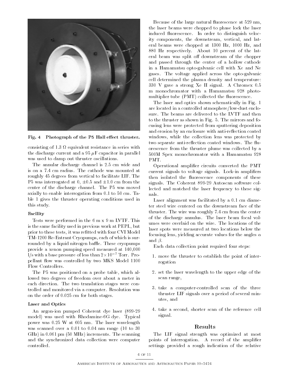

Fig. 4 Photograph of the P5 Hall effect thruster.

consisting of 1.3  $\pm$  1.3  $\pm$  1.3  $\pm$  1.3  $\pm$  1.3  $\pm$  1.3  $\pm$  1.3  $\pm$  1.3  $\pm$  1.3  $\pm$  1.3  $\pm$  1.3  $\pm$  1.3  $\pm$  1.3  $\pm$  1.3  $\pm$  1.3  $\pm$  1.3  $\pm$  1.3  $\pm$  1.3  $\pm$  1.3  $\pm$  1.3  $\pm$  1.3  $\pm$  1.3  $\pm$  1.3  $\pm$  1 the discharge current and a 95  $\mu$ F capacitor in parallel was used to damp out thruster oscillations.

The annular discharge channel is 2.5 cm wide and is on a 7.4 cm radius. The cathode was mounted at roughly 45 degrees from vertical to facilitate LIF. The P5 was interrogated at  $0, \pm 0.5$  and  $\pm 1.0$  cm from the center of the discharge channel. The P5 was moved axially to enable interrogation from 0.1 to 50 cm. Table 1 gives the thruster operating conditions used in this study.

#### Facility

Tests were performed in the 6 m x 9 m LVTF. This is the same facility used in previous work at PEPL, but prior to these tests, it was refitted with four CVI Model TM-1200 Re-Entrant Cryopumps, each of which is surrounded by a liquid nitrogen baffle. These cryopumps provide a xenon pumping speed measured at 140,000 l/s with a base pressure of less than 2-107 Torr. Propellant flow was controlled by two MKS Model 1100 Flow Controllers.

The P5 was positioned on a probe table, which allowed two degrees of freedom over about a meter in each direction. The two translation stages were controlled and monitored via a computer. Resolution was on the order of 0.025 cm for both stages.

#### Laser and Optics

An argon-ion pumped Coherent dye laser (899-29 model) was used with Rhodamine-6G dye. Typical power was 0.25 W at 605 nm. The laser wavelength was scanned over a 0.01 to 0.04 nm range (10 to 30 GHz) in 0.061 pm (50 MHz) increments. The scanning and the synchronized data collection were computer controlled.

Because of the large natural fluorescence at 529 nm, the laser beams were chopped to phase lock the laser induced fluorescence. In order to distinguish velocity components, the downstream, vertical, and lateral beams were chopped at 1300 Hz, 1000 Hz, and 880 Hz respectively. About 10 percent of the lateral beam was split off downstream of the chopper and passed through the center of a hollow cathode in a Hamamatsu opto-galvanic cell with Xe and Ne gases. The voltage applied across the opto-galvanic cell determined the plasma density and temperature: 330 V gave a strong Xe II signal. A Chromex 0.5 m monochromator with a Hamamatsu 928 photo multiplier tube (PMT) collected the fluorescence.

The laser and optics shown schematically in Fig. 1 are located in a controlled atmosphere/low-dust enclosure. The beams are delivered to the LVTF and then to the thruster as shown in Fig. 5. The mirrors and focusing lens were protected from sputtering deposition and erosion by an enclosure with anti-reflection coated windows, while the collection lens was protected by two separate anti-reflection coated windows. The fluorescence from the thruster plume was collected by a 500M Spex monochromator with a Hamamatsu 928 PMT.

Operational amplier circuits converted the PMT current signals to voltage signals. Lock-in amplifiers then isolated the fluorescence components of these signals. The Coherent 899-29 Autoscan software collected and matched the laser frequency to these signals.

Laser alignment was facilitated by a 0.1 cm diameter steel wire centered on the downstream face of the thruster. The wire was roughly 7.4 cm from the center of the discharge annulus. The laser beam focal volumes were overlaid on the wire. The locations of the laser spots were measured at two locations below the focusing lens, yielding accurate values for the angles  $\alpha$ and  $\beta$ .

Each data collection point required four steps:

- 1. move the thruster to establish the point of interrogation
- 2. set the laser wavelength to the upper edge of the scan range,
- 3. take a computer-controlled scan of the three thruster LIF signals over a period of several minutes, and
- 4. take a second, shorter scan of the reference cell signal.

### Results

The LIF signal strength was optimized at most points of interrogation. A record of the amplifier settings provided a rough indication of the relative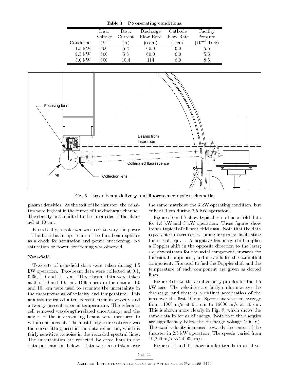| Table 1 |  | P5 operating conditions. |
|---------|--|--------------------------|
|         |  |                          |

|                   | Disc.   | Disc.   | Discharge | Cathode   | Facility                 |
|-------------------|---------|---------|-----------|-----------|--------------------------|
|                   | Voltage | Current | Flow Rate | Flow Rate | Pressure                 |
| Condition         |         | A       | [sccm]    | (sccm)    | $(10^{-6} \text{ Torr})$ |
| 1.5 kW            | 300     | 5.3     | 60.0      | 6.0       | 5.5                      |
| $2.5~\mathrm{kW}$ | 500     | 53      | 60.0      | 6.0       | 5.5                      |
| $3.0\;{\rm kW}$   | 300     | 10 4    | 114       | 60        | 85                       |



Fig. 5 Laser beam delivery and fluorescence optics schematic.

plasma densities. At the exit of the thruster, the densities were highest in the center of the discharge channel. The density peak shifted to the inner edge of the channel at 10 cm.

Periodically, a polarizer was used to vary the power of the laser beam upstream of the first beam splitter as a check for saturation and power broadening. No saturation or power broadening was observed.

#### Near-field

Two sets of near-field data were taken during 1.5 kW operation. Two-beam data were collected at 0.1, 0.65, 1.0 and 10. cm. Three-beam data were taken at  $0.5$ ,  $1.0$  and  $10$ . cm. Differences in the data at  $1.0$ and 10. cm were used to estimate the uncertainty in the measurements of velocity and temperature. This analysis indicated a ten percent error in velocity and a twenty percent error in temperature. The reference cell removed wavelength-related uncertainty, and the angles of the interrogating beams were measured to within one percent. The most likely source of error was the curve fitting used in the data reduction, which is fairly sensitive to noise in the recorded spectral lines. The uncertainties are reflected by error bars in the data presentation below. Data were also taken over

the same matrix at the 3 kW operating condition, but only at 1 cm during 2.5 kW operation.

Figures 6 and 7 show typical sets of near-field data for 1.5 kW and 3 kW operation. These figures show trends typical of all near-field data. Note that the data is presented in terms of detuning frequency, facilitating the use of Eqn. 1. A negative frequency shift implies a Doppler shift in the opposite direction to the laser; i.e, downstream for the axial component, inwards for the radial component, and upwards for the azimuthal component. Fits used to find the Doppler shift and the temperature of each component are given as dotted lines.

Figure 8 shows the axial velocity profiles for the 1.5 kW case. The velocities are fairly uniform across the discharge, and there is a distinct acceleration of the ions over the first 10 cm. Speeds increase on average from 11000 m/s at 0.1 cm to 16000 m/s at 10 cm. This is shown more clearly in Fig. 9, which shows the same data in terms of energy. Note that the energies are signicantly below the discharge voltage (300 V). The axial velocity increased towards the center of the thruster in 2.5 kW operation. The speeds varied from  $19,200 \text{ m/s}$  to  $24,000 \text{ m/s}$ .

Figures 10 and 11 show similar trends in axial ve-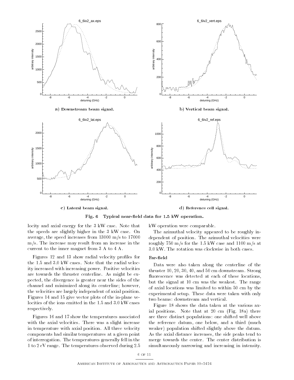

c) Lateral beam signal.

d) Reference cell signal.

Fig. 6 Typical near-field data for 1.5 kW operation.

locity and axial energy for the 3 kW case. Note that the speeds are slightly higher in the 3 kW case. On average, the speed increases from 13000 m/s to 17000 m/s. The increase may result from an increase in the current to the inner magnet from 3 A to 4 A.

Figures 12 and 13 show radial velocity proles for the 1.5 and 3.0 kW cases. Note that the radial velocity increased with increasing power. Positive velocities are towards the thruster centerline. As might be expected, the divergence is greater near the sides of the channel and minimized along its centerline; however, the velocities are largely independent of axial position. Figures 14 and 15 give vector plots of the in-plane velocities of the ions emitted in the 1.5 and 3.0 kW cases respectively.

Figures 16 and 17 show the temperatures associated with the axial velocities. There was a slight increase in temperature with axial position. All three velocity components had similar temperatures at a given point of interrogation. The temperatures generally fell in the 1 to 2 eV range. The temperatures observed during 2.5 kW operation were comparable.

The azimuthal velocity appeared to be roughly independent of position. The azimuthal velocities were roughly 750 m/s for the 1.5 kW case and 1100 m/s at 3.0 kW. The rotation was clockwise in both cases.

#### Far-field

Data were also taken along the centerline of the thruster 10, 20, 30, 40, and 50 cm downstream. Strong fluorescence was detected at each of these locations, but the signal at 10 cm was the weakest. The range of axial locations was limited to within 50 cm by the experimental setup. These data were taken with only two beams: downstream and vertical.

Figure 18 shows the data taken at the various axial positions. Note that at 20 cm (Fig. 18a) there are three distinct populations: one shifted well above the reference datum, one below, and a third (much weaker) population shifted slightly above the datum. As the axial distance increases, the side peaks tend to merge towards the center. The center distribution is simultaneously narrowing and increasing in intensity.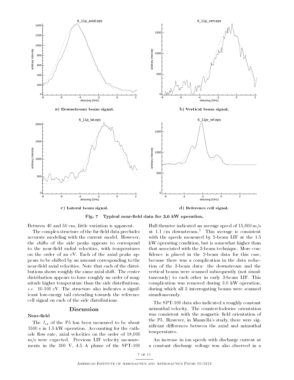

c) Lateral beam signal.

d) Reference cell signal.

Fig. 7 Typical near-field data for 3.0 kW operation.

Between 40 and 50 cm, little variation is apparent.

The complex structure of the far-field data precludes accurate modeling with the current model. However, the shifts of the side peaks appears to correspond to the near-field radial velocities, with temperatures on the order of an eV. Each of the axial peaks appears to be shifted by an amount corresponding to the near-field axial velocities. Note that each of the distributions shows roughly the same axial shift. The center distribution appears to have roughly an order of magnitude higher temperature than the side distributions, *i.e.* 10-100 eV. The structure also indicates a significant low-energy tail extending towards the reference cell signal on each of the side distributions.

#### Discussion

The  $I_{sp}$  of the P5 has been measured to be about 1500 s in 1.5 kW operation. Accounting for the cathode flow rate, axial velocities on the order of 18,000 m/s were expected. Previous LIF velocity measure ments in the 300 V, 4.5 A plume of the SPT-100

Near-field

Hall thruster indicated an average speed of 15,600 m/s at 1.1 cm downstream.<sup>2</sup> This average is consistent with the speeds measured by 2-beam LIF at the 1.5 kW operating condition, but is somewhat higher than that associated with the 3-beam technique. More con fidence is placed in the 2-beam data for this case, because there was a complication in the data reduction of the 3-beam data: the downstream and the vertical beams were scanned subsequently (not simultaneously) to each other in early 3-beam LIF. This complication was removed during 3.0 kW operation, during which all 3 interrogating beams were scanned simultaneously.

The SPT-100 data also indicated a roughly constant azimuthal velocity. The counterclockwise orientation was consistent with the magnetic field orientation of the P5. However, in Manzella's study, there were significant differences between the axial and azimuthal temperatures.

An increase in ion speeds with discharge current at a constant discharge voltage was also observed in a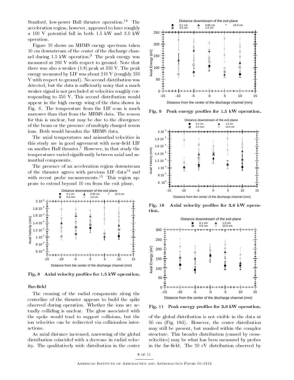Stanford, low-power Hall thruster operation.<sup>14</sup> The acceleration region, however, appeared to have roughly a 100 V potential fall in both 1.5 kW and 3.0 kW operation.

Figure 19 shows an MBMS energy spectrum taken 10 cm downstream of the center of the discharge channel during  $1.5 \text{ kW}$  operation.<sup>3</sup> The peak energy was measured at 260 V with respect to ground. Note that there was also a weaker  $(1:8)$  peak at 350 V. The peak energy measured by LIF was about 210 V (roughly 230 V with respect to ground). No second distribution was detected, but the data is sufficiently noisy that a much weaker signal is not precluded at velocities roughly corresponding to 350 V. This second distribution would appear in the high energy wing of the data shown in Fig. 6. The temperature from the LIF scan is much  $\begin{bmatrix} 1 & 1 \\ 1 & 1 \end{bmatrix}$   $\begin{bmatrix} 1 & 1 \\ 1 & 1 \end{bmatrix}$   $\begin{bmatrix} 1 & 1 \\ 1 & 1 \end{bmatrix}$   $\begin{bmatrix} 1 & 1 \\ 1 & 1 \end{bmatrix}$   $\begin{bmatrix} 1 & 1 \\ 1 & 1 \end{bmatrix}$   $\begin{bmatrix} 1 & 1 \\ 1 & 1 \end{bmatrix}$   $\begin{bmatrix} 1 & 1 \\ 1$ narrower than that from the MBMS data. The reason for this is unclear, but may be due to the divergence of the beam or the presence of multiply charged xenon ions. Both would broaden the MBMS data.

The axial temperatures and azimuthal velocities in this study are in good agreement with near-field LIF on another Hall thruster.<sup>1</sup> However, in that study the temperatures varied signicantly between axial and azimuthal components. another Hall thruster.<sup>1</sup> However, in that study the<br>mperatures varied significantly between axial and az-<br>uthal components.<br>The presence of an acceleration region downstream<br>the thruster agrees with previous LIF data<sup>14</sup>

of the thruster agrees with previous LIF data<sup>14</sup> and with recent probe measurements.<sup>15</sup> This region appears to extend beyond 10 cm from the exit plane.



Fig. 8 Axial velocity profiles for 1.5 kW operation.

#### Far-field

The crossing of the radial components along the centerline of the thruster appears to build the spike observed during operation. Whether the ions are actually colliding is unclear. The glow associated with the spoke would tend to support collisions, but the ion velocities can be redirected via collisionless interactions.

As axial distance increased, narrowing of the global distribution coincided with a decrease in radial velocity. The qualitatively wide distribution in the center



Peak energy profiles for 1.5 kW operation.



Fig. 10 Axial velocity profiles for 3.0 kW operation.



Fig. 11 Peak energy profiles for 3.0 kW operation.

of the global distribution is not visible in the data at 50 cm (Fig. 18d). However, the center distribution may still be present, but masked within the complex structure. This broader distribution (caused by crossvelocities) may be what has been measured by probes in the far-field. The 20 eV distribution observed by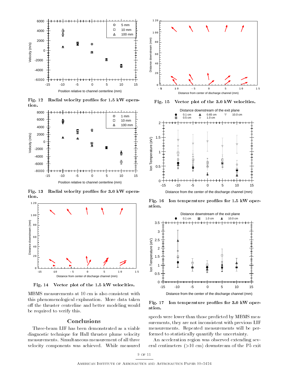

Fig. 12 Radial velocity profiles for 1.5 kW operation.



Fig. 13 Radial velocity profiles for 3.0 kW operation.



Fig. 14 Vector plot of the 1.5 kW velocities.

MBMS measurements at 10 cm is also consistent with this phenomenological explanation. More data taken  $\mathbf{Fig. 17}$ off the thruster centerline and better modeling would be required to verify this.

#### Conclusions

Three-beam LIF has been demonstrated as a viable diagnostic technique for Hall thruster plume velocity measurements. Simultaneous measurement of all three velocity components was achieved. While measured



Fig. 15 Vector plot of the 3.0 kW velocities.



Fig. 16 Ion temperature profiles for 1.5 kW operation.



Ion temperature profiles for 3.0 kW operation.

speeds were lower than those predicted by MBMS measurements, they are not inconsistent with previous LIF measurements. Repeated measurements will be performed to statistically quantify the uncertainty.

An acceleration region was observed extending several centimeters (>10 cm) downstream of the P5 exit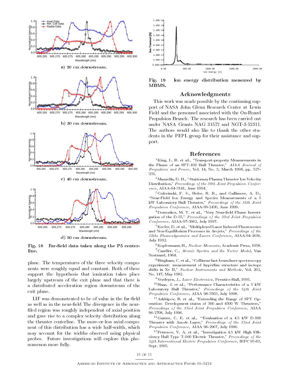

d) <sup>50</sup> cm downstream.

Fig. 18 Far-field data taken along the P5 centerline.

plane. The temperatures of the three velocity components were roughly equal and constant. Both of these support the hypothesis that ionization takes place largely upstream of the exit plane and that there is a distributed acceleration region downstream of the exit plane.

 ${\rm LIF}$  was demonstrated to be of value in the far-field as well as in the near-field The divergence in the nearfiled region was roughly independent of axial position and gave rise to a complex velocity distribution along the thruster centerline. The more-or-less axial component of this distribution has a wide half-width, which may account for the widths observed using physical probes. Future investigations will explore this phenomenon more fully.



Fig. 19 Ion energy distribution measured by MBMS.

#### Acknowledgments

This work was made possible by the continuing support of NASA John Glenn Research Center at Lewis Field and the personnel associated with the On-Board Propulsion Branch. The research has been carried out under NASA Grants NAG 31572 and NGT-3-52311. The authors would also like to thank the other students in the PEPL group for their assistance and support.

#### References

 $1$ King, L. B. et al., "Transport-property Measurements in the Plume of an SPT-100 Hall Thruster," AIAA Journal of Propulsion and Power, Vol. 14, No. 3, March 1998, pp. 327-335.

 $2$ Manzella, D. H., "Stationary Plasma Thruster Ion Velocity Distribution," Proceedings of the 30th Joint Propulsion Conference, AIAA-94-3141, June 1994.

3Gulczinski, F. S., Hofer, R. R., and Gallimore, A. D.,  $\Delta$  Field Ion Energy and Species Measurements of a  $5$ kW Laboratory Hall Thruster," Proceedings of the 35th Joint Propulsion Conference, AIAA-99-2430, June 1999.

<sup>4</sup>Domonkos, M. T. et al., "Very Near-field Plume Investigation of the D-55," Proceedings of the 33rd Joint Propulsion Conference, AIAA-97-3062, July 1997.

<sup>5</sup>Keefer, D. et al., "Multiplexed Laser Induced Fluorescence and Non-Equilibrium Processes in Arcjets," Proceedings of the 25the Plasmadynamics and Lasers Conference, AIAA-94-2656, July 1992.

 ${}^6$  Kopfermann, H., Nuclear Moments, Academic Press, 1958. <sup>7</sup>Candler, C., Atomic Spectra and the Vector Model, Van Nostrand, 1964.

<sup>8</sup>Bingham, C. et al., "Collinear fast-beam laser spectroscopy experiment: measurement of hyperfine structure and isotope experiment: measurement: measurement: measurement of hyperstructure and isotoperior structure and isotoperior shifts in Xe II," Nuclear Instruments and Methods, Vol. 202, No. 147, May 1982.

<sup>9</sup>Verdeyen, J., Laser Electronics, Prentice-Hall, 1995.

 $10$ Haas, J. et al., "Performance Characteristics of a 5 kW Laboratory Hall Thruster," Proceedings of the 34th Joint Propulsion Conference, AIAA 98-3503, July 1998.

<sup>11</sup> Arkhipov, B. et al., "Extending the Range of SPT Operation: Development status of 300 and 4500 W Thrusters," Proceedings of the 32nd Joint Propulsion Conference, AIAA 96-2708, July 1996.

 $^{12}$ Garner, C. E. et al., "Evaluation of a 4.5 kW D-100 Thruster with Anode Layer," Proceedings of the 32nd Joint Propulsion Conference, AIAA 96-2967, July 1996.

 $\lq$  - Petrosov, v. A. et al., "Investigation 4.5 kW High E-IIIciency Hall Type T-160 Electric Thruster," Proceedings of the 24th International Electric Propulsion Conference, IEPC 95-03, Sept. 1995.

10 of 11